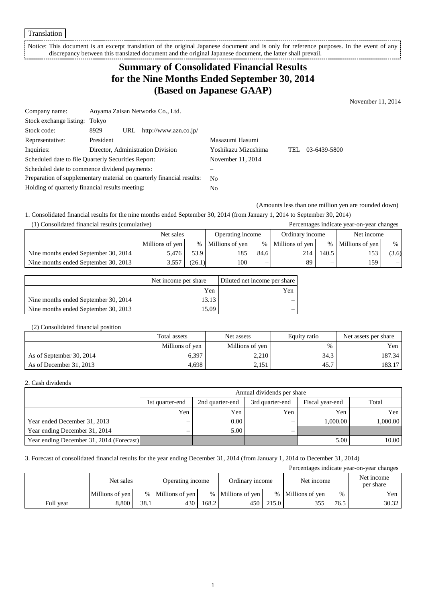Translation

Notice: This document is an excerpt translation of the original Japanese document and is only for reference purposes. In the event of any discrepancy between this translated document and the original Japanese document, the latter shall prevail.

## **Summary of Consolidated Financial Results for the Nine Months Ended September 30, 2014 (Based on Japanese GAAP)**

November 11, 2014

| Company name:                                                         |           | Aoyama Zaisan Networks Co., Ltd. |                                   |                     |      |              |
|-----------------------------------------------------------------------|-----------|----------------------------------|-----------------------------------|---------------------|------|--------------|
| Stock exchange listing: Tokyo                                         |           |                                  |                                   |                     |      |              |
| Stock code:                                                           | 8929      |                                  | URL $http://www.azn.co.jp/$       |                     |      |              |
| Representative:                                                       | President |                                  |                                   | Masazumi Hasumi     |      |              |
| Inquiries:                                                            |           |                                  | Director, Administration Division | Yoshikazu Mizushima | TEL. | 03-6439-5800 |
| Scheduled date to file Quarterly Securities Report:                   |           | November 11, 2014                |                                   |                     |      |              |
| Scheduled date to commence dividend payments:                         |           |                                  |                                   |                     |      |              |
| Preparation of supplementary material on quarterly financial results: |           | N <sub>0</sub>                   |                                   |                     |      |              |
| Holding of quarterly financial results meeting:                       |           |                                  | No                                |                     |      |              |

(Amounts less than one million yen are rounded down)

1. Consolidated financial results for the nine months ended September 30, 2014 (from January 1, 2014 to September 30, 2014) (1) Consolidated financial results (cumulative) Percentages indicate year-on-year changes

|                                      | Net sales       |        | Operating income  |      | Ordinary income   |       | Net income        |       |
|--------------------------------------|-----------------|--------|-------------------|------|-------------------|-------|-------------------|-------|
|                                      | Millions of yen |        | % Millions of yen |      | % Millions of yen |       | % Millions of yen | %     |
| Nine months ended September 30, 2014 | 5.476           | 53.9   | 185               | 84.6 | 214               | 140.5 |                   | (3.6) |
| Nine months ended September 30, 2013 | 3.557           | (26.1) | 100-              |      | 89                |       | 159               | $-1$  |

|                                      | Net income per share | Diluted net income per share |
|--------------------------------------|----------------------|------------------------------|
|                                      | Yen                  | Yen                          |
| Nine months ended September 30, 2014 | 13.13                |                              |
| Nine months ended September 30, 2013 | 15.09                |                              |

### (2) Consolidated financial position

|                          | Total assets    | Net assets      | Equity ratio | Net assets per share |
|--------------------------|-----------------|-----------------|--------------|----------------------|
|                          | Millions of yen | Millions of yen | $\%$         | Yen                  |
| As of September 30, 2014 | 6,397           | 2,210           | 34.3         | 187.34               |
| As of December 31, 2013  | 4,698           | 2,151           | 45.7         | 183.17               |

#### 2. Cash dividends

|                                          |                   | Annual dividends per share                                     |     |          |          |  |  |  |
|------------------------------------------|-------------------|----------------------------------------------------------------|-----|----------|----------|--|--|--|
|                                          | 1st quarter-end   | Total<br>3rd quarter-end<br>Fiscal year-end<br>2nd quarter-end |     |          |          |  |  |  |
|                                          | Yen               | Yen                                                            | Yen | Yen      | Yen      |  |  |  |
| Year ended December 31, 2013             | $\hspace{0.05cm}$ | $0.00\,$                                                       | -   | 1,000.00 | 1.000.00 |  |  |  |
| Year ending December 31, 2014            | —                 | 5.00                                                           | -   |          |          |  |  |  |
| Year ending December 31, 2014 (Forecast) |                   |                                                                |     | 5.00     | 10.00    |  |  |  |

3. Forecast of consolidated financial results for the year ending December 31, 2014 (from January 1, 2014 to December 31, 2014)

Percentages indicate year-on-year changes Net sales Operating income Ordinary income Net income Net income Net income per share Millions of yen % Millions of yen % Millions of yen % Millions of yen % Yen Full year 8,800 38.1 430 168.2 450 215.0 355 76.5 30.32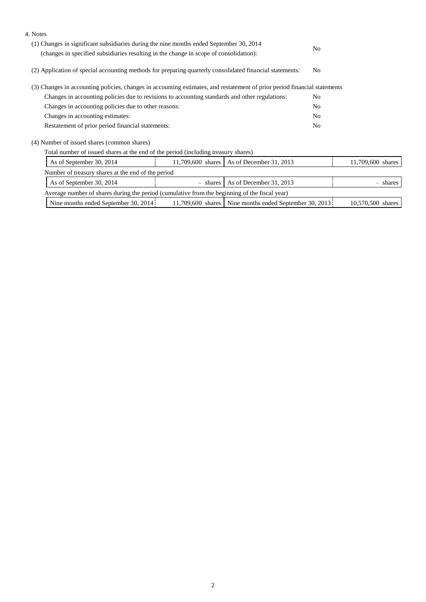| 4. Notes                                                                                                                                                                          |          |                                             |                |                   |
|-----------------------------------------------------------------------------------------------------------------------------------------------------------------------------------|----------|---------------------------------------------|----------------|-------------------|
| (1) Changes in significant subsidiaries during the nine months ended September 30, 2014<br>(changes in specified subsidiaries resulting in the change in scope of consolidation): |          |                                             | N <sub>0</sub> |                   |
| (2) Application of special accounting methods for preparing quarterly consolidated financial statements:                                                                          |          |                                             | N <sub>0</sub> |                   |
| (3) Changes in accounting policies, changes in accounting estimates, and restatement of prior period financial statements                                                         |          |                                             |                |                   |
| Changes in accounting policies due to revisions to accounting standards and other regulations:                                                                                    |          |                                             | N <sub>0</sub> |                   |
| Changes in accounting policies due to other reasons:                                                                                                                              |          |                                             |                |                   |
| Changes in accounting estimates:                                                                                                                                                  |          |                                             | No             |                   |
| Restatement of prior period financial statements:                                                                                                                                 |          |                                             | N <sub>0</sub> |                   |
| (4) Number of issued shares (common shares)                                                                                                                                       |          |                                             |                |                   |
| Total number of issued shares at the end of the period (including treasury shares)                                                                                                |          |                                             |                |                   |
| As of September 30, 2014                                                                                                                                                          |          | 11,709,600 shares   As of December 31, 2013 |                | 11,709,600 shares |
| Number of treasury shares at the end of the period                                                                                                                                |          |                                             |                |                   |
| As of September 30, 2014                                                                                                                                                          | - shares | As of December 31, 2013                     |                | shares            |
| Average number of shares during the period (cumulative from the beginning of the fiscal year)                                                                                     |          |                                             |                |                   |

| Trouted humor of shares utility borlow teamulative from the occuling of the fiscal vear. |  |                                                            |                   |  |  |  |
|------------------------------------------------------------------------------------------|--|------------------------------------------------------------|-------------------|--|--|--|
| Nine months ended September 30, 2014                                                     |  | $11,709,600$ shares   Nine months ended September 30, 2013 | 10,570,500 shares |  |  |  |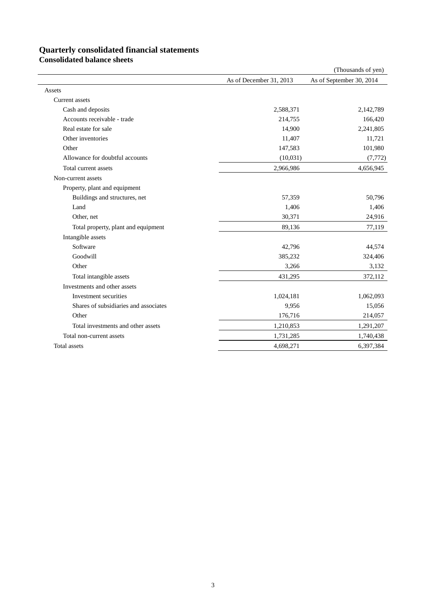# **Quarterly consolidated financial statements**

**Consolidated balance sheets**

|                                       |                         | (Thousands of yen)       |
|---------------------------------------|-------------------------|--------------------------|
|                                       | As of December 31, 2013 | As of September 30, 2014 |
| Assets                                |                         |                          |
| Current assets                        |                         |                          |
| Cash and deposits                     | 2,588,371               | 2,142,789                |
| Accounts receivable - trade           | 214,755                 | 166,420                  |
| Real estate for sale                  | 14,900                  | 2,241,805                |
| Other inventories                     | 11,407                  | 11,721                   |
| Other                                 | 147,583                 | 101,980                  |
| Allowance for doubtful accounts       | (10, 031)               | (7, 772)                 |
| Total current assets                  | 2,966,986               | 4,656,945                |
| Non-current assets                    |                         |                          |
| Property, plant and equipment         |                         |                          |
| Buildings and structures, net         | 57,359                  | 50,796                   |
| Land                                  | 1,406                   | 1,406                    |
| Other, net                            | 30,371                  | 24,916                   |
| Total property, plant and equipment   | 89,136                  | 77,119                   |
| Intangible assets                     |                         |                          |
| Software                              | 42,796                  | 44,574                   |
| Goodwill                              | 385,232                 | 324,406                  |
| Other                                 | 3,266                   | 3,132                    |
| Total intangible assets               | 431,295                 | 372,112                  |
| Investments and other assets          |                         |                          |
| Investment securities                 | 1,024,181               | 1,062,093                |
| Shares of subsidiaries and associates | 9,956                   | 15,056                   |
| Other                                 | 176,716                 | 214,057                  |
| Total investments and other assets    | 1,210,853               | 1,291,207                |
| Total non-current assets              | 1,731,285               | 1,740,438                |
| Total assets                          | 4,698,271               | 6,397,384                |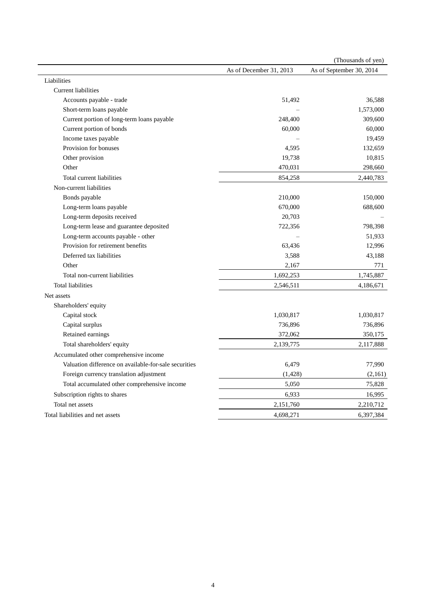|                                                       |                         | (Thousands of yen)       |
|-------------------------------------------------------|-------------------------|--------------------------|
|                                                       | As of December 31, 2013 | As of September 30, 2014 |
| Liabilities                                           |                         |                          |
| <b>Current liabilities</b>                            |                         |                          |
| Accounts payable - trade                              | 51,492                  | 36,588                   |
| Short-term loans payable                              |                         | 1,573,000                |
| Current portion of long-term loans payable            | 248,400                 | 309,600                  |
| Current portion of bonds                              | 60,000                  | 60,000                   |
| Income taxes payable                                  |                         | 19,459                   |
| Provision for bonuses                                 | 4,595                   | 132,659                  |
| Other provision                                       | 19,738                  | 10,815                   |
| Other                                                 | 470,031                 | 298,660                  |
| Total current liabilities                             | 854,258                 | 2,440,783                |
| Non-current liabilities                               |                         |                          |
| Bonds payable                                         | 210,000                 | 150,000                  |
| Long-term loans payable                               | 670,000                 | 688,600                  |
| Long-term deposits received                           | 20,703                  |                          |
| Long-term lease and guarantee deposited               | 722,356                 | 798,398                  |
| Long-term accounts payable - other                    |                         | 51,933                   |
| Provision for retirement benefits                     | 63,436                  | 12,996                   |
| Deferred tax liabilities                              | 3,588                   | 43,188                   |
| Other                                                 | 2,167                   | 771                      |
| Total non-current liabilities                         | 1,692,253               | 1,745,887                |
| <b>Total liabilities</b>                              | 2,546,511               | 4,186,671                |
| Net assets                                            |                         |                          |
| Shareholders' equity                                  |                         |                          |
| Capital stock                                         | 1,030,817               | 1,030,817                |
| Capital surplus                                       | 736,896                 | 736,896                  |
| Retained earnings                                     | 372,062                 | 350,175                  |
| Total shareholders' equity                            | 2,139,775               | 2,117,888                |
| Accumulated other comprehensive income                |                         |                          |
| Valuation difference on available-for-sale securities | 6,479                   | 77,990                   |
| Foreign currency translation adjustment               | (1,428)                 | (2,161)                  |
| Total accumulated other comprehensive income          | 5,050                   | 75,828                   |
| Subscription rights to shares                         | 6,933                   | 16,995                   |
| Total net assets                                      | 2,151,760               | 2,210,712                |
|                                                       |                         |                          |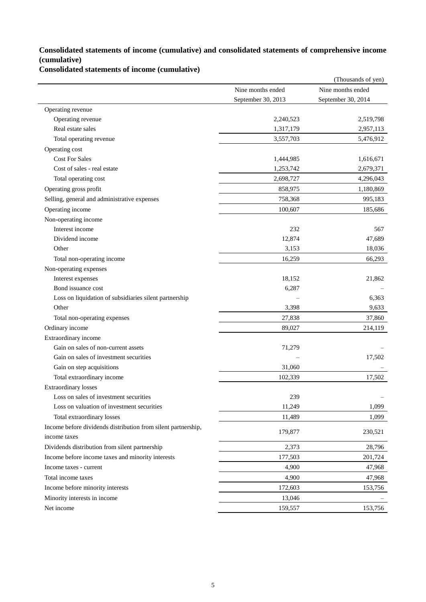### **Consolidated statements of income (cumulative) and consolidated statements of comprehensive income (cumulative)**

**Consolidated statements of income (cumulative)**

| Nine months ended<br>Nine months ended<br>September 30, 2013<br>September 30, 2014<br>Operating revenue<br>Operating revenue<br>2,240,523<br>2,519,798<br>Real estate sales<br>1,317,179<br>2,957,113<br>3,557,703<br>Total operating revenue<br>5,476,912<br>Operating cost<br><b>Cost For Sales</b><br>1,444,985<br>1,616,671<br>Cost of sales - real estate<br>2,679,371<br>1,253,742<br>Total operating cost<br>4,296,043<br>2,698,727<br>Operating gross profit<br>858,975<br>1,180,869<br>Selling, general and administrative expenses<br>758,368<br>995,183<br>Operating income<br>100,607<br>185,686<br>Non-operating income<br>Interest income<br>232<br>567<br>Dividend income<br>12,874<br>47,689<br>Other<br>3,153<br>18,036<br>66,293<br>Total non-operating income<br>16,259<br>Non-operating expenses<br>Interest expenses<br>18,152<br>21,862<br>Bond issuance cost<br>6,287<br>Loss on liquidation of subsidiaries silent partnership<br>6,363<br>Other<br>3,398<br>9,633<br>27,838<br>37,860<br>Total non-operating expenses<br>Ordinary income<br>89,027<br>214,119<br>Extraordinary income<br>Gain on sales of non-current assets<br>71,279<br>Gain on sales of investment securities<br>17,502<br>Gain on step acquisitions<br>31,060<br>Total extraordinary income<br>102,339<br>17,502<br><b>Extraordinary losses</b><br>239<br>Loss on sales of investment securities<br>Loss on valuation of investment securities<br>1,099<br>11,249<br>Total extraordinary losses<br>11,489<br>1,099<br>Income before dividends distribution from silent partnership,<br>179,877<br>230,521<br>income taxes<br>Dividends distribution from silent partnership<br>2,373<br>28,796<br>Income before income taxes and minority interests<br>177,503<br>201,724<br>Income taxes - current<br>4,900<br>47,968<br>Total income taxes<br>4,900<br>47,968<br>Income before minority interests<br>172,603<br>153,756<br>Minority interests in income<br>13,046 |            |         | (Thousands of yen) |
|------------------------------------------------------------------------------------------------------------------------------------------------------------------------------------------------------------------------------------------------------------------------------------------------------------------------------------------------------------------------------------------------------------------------------------------------------------------------------------------------------------------------------------------------------------------------------------------------------------------------------------------------------------------------------------------------------------------------------------------------------------------------------------------------------------------------------------------------------------------------------------------------------------------------------------------------------------------------------------------------------------------------------------------------------------------------------------------------------------------------------------------------------------------------------------------------------------------------------------------------------------------------------------------------------------------------------------------------------------------------------------------------------------------------------------------------------------------------------------------------------------------------------------------------------------------------------------------------------------------------------------------------------------------------------------------------------------------------------------------------------------------------------------------------------------------------------------------------------------------------------------------------------------------------------------------------------------------|------------|---------|--------------------|
|                                                                                                                                                                                                                                                                                                                                                                                                                                                                                                                                                                                                                                                                                                                                                                                                                                                                                                                                                                                                                                                                                                                                                                                                                                                                                                                                                                                                                                                                                                                                                                                                                                                                                                                                                                                                                                                                                                                                                                  |            |         |                    |
|                                                                                                                                                                                                                                                                                                                                                                                                                                                                                                                                                                                                                                                                                                                                                                                                                                                                                                                                                                                                                                                                                                                                                                                                                                                                                                                                                                                                                                                                                                                                                                                                                                                                                                                                                                                                                                                                                                                                                                  |            |         |                    |
|                                                                                                                                                                                                                                                                                                                                                                                                                                                                                                                                                                                                                                                                                                                                                                                                                                                                                                                                                                                                                                                                                                                                                                                                                                                                                                                                                                                                                                                                                                                                                                                                                                                                                                                                                                                                                                                                                                                                                                  |            |         |                    |
|                                                                                                                                                                                                                                                                                                                                                                                                                                                                                                                                                                                                                                                                                                                                                                                                                                                                                                                                                                                                                                                                                                                                                                                                                                                                                                                                                                                                                                                                                                                                                                                                                                                                                                                                                                                                                                                                                                                                                                  |            |         |                    |
|                                                                                                                                                                                                                                                                                                                                                                                                                                                                                                                                                                                                                                                                                                                                                                                                                                                                                                                                                                                                                                                                                                                                                                                                                                                                                                                                                                                                                                                                                                                                                                                                                                                                                                                                                                                                                                                                                                                                                                  |            |         |                    |
|                                                                                                                                                                                                                                                                                                                                                                                                                                                                                                                                                                                                                                                                                                                                                                                                                                                                                                                                                                                                                                                                                                                                                                                                                                                                                                                                                                                                                                                                                                                                                                                                                                                                                                                                                                                                                                                                                                                                                                  |            |         |                    |
|                                                                                                                                                                                                                                                                                                                                                                                                                                                                                                                                                                                                                                                                                                                                                                                                                                                                                                                                                                                                                                                                                                                                                                                                                                                                                                                                                                                                                                                                                                                                                                                                                                                                                                                                                                                                                                                                                                                                                                  |            |         |                    |
|                                                                                                                                                                                                                                                                                                                                                                                                                                                                                                                                                                                                                                                                                                                                                                                                                                                                                                                                                                                                                                                                                                                                                                                                                                                                                                                                                                                                                                                                                                                                                                                                                                                                                                                                                                                                                                                                                                                                                                  |            |         |                    |
|                                                                                                                                                                                                                                                                                                                                                                                                                                                                                                                                                                                                                                                                                                                                                                                                                                                                                                                                                                                                                                                                                                                                                                                                                                                                                                                                                                                                                                                                                                                                                                                                                                                                                                                                                                                                                                                                                                                                                                  |            |         |                    |
|                                                                                                                                                                                                                                                                                                                                                                                                                                                                                                                                                                                                                                                                                                                                                                                                                                                                                                                                                                                                                                                                                                                                                                                                                                                                                                                                                                                                                                                                                                                                                                                                                                                                                                                                                                                                                                                                                                                                                                  |            |         |                    |
|                                                                                                                                                                                                                                                                                                                                                                                                                                                                                                                                                                                                                                                                                                                                                                                                                                                                                                                                                                                                                                                                                                                                                                                                                                                                                                                                                                                                                                                                                                                                                                                                                                                                                                                                                                                                                                                                                                                                                                  |            |         |                    |
|                                                                                                                                                                                                                                                                                                                                                                                                                                                                                                                                                                                                                                                                                                                                                                                                                                                                                                                                                                                                                                                                                                                                                                                                                                                                                                                                                                                                                                                                                                                                                                                                                                                                                                                                                                                                                                                                                                                                                                  |            |         |                    |
|                                                                                                                                                                                                                                                                                                                                                                                                                                                                                                                                                                                                                                                                                                                                                                                                                                                                                                                                                                                                                                                                                                                                                                                                                                                                                                                                                                                                                                                                                                                                                                                                                                                                                                                                                                                                                                                                                                                                                                  |            |         |                    |
|                                                                                                                                                                                                                                                                                                                                                                                                                                                                                                                                                                                                                                                                                                                                                                                                                                                                                                                                                                                                                                                                                                                                                                                                                                                                                                                                                                                                                                                                                                                                                                                                                                                                                                                                                                                                                                                                                                                                                                  |            |         |                    |
|                                                                                                                                                                                                                                                                                                                                                                                                                                                                                                                                                                                                                                                                                                                                                                                                                                                                                                                                                                                                                                                                                                                                                                                                                                                                                                                                                                                                                                                                                                                                                                                                                                                                                                                                                                                                                                                                                                                                                                  |            |         |                    |
|                                                                                                                                                                                                                                                                                                                                                                                                                                                                                                                                                                                                                                                                                                                                                                                                                                                                                                                                                                                                                                                                                                                                                                                                                                                                                                                                                                                                                                                                                                                                                                                                                                                                                                                                                                                                                                                                                                                                                                  |            |         |                    |
|                                                                                                                                                                                                                                                                                                                                                                                                                                                                                                                                                                                                                                                                                                                                                                                                                                                                                                                                                                                                                                                                                                                                                                                                                                                                                                                                                                                                                                                                                                                                                                                                                                                                                                                                                                                                                                                                                                                                                                  |            |         |                    |
|                                                                                                                                                                                                                                                                                                                                                                                                                                                                                                                                                                                                                                                                                                                                                                                                                                                                                                                                                                                                                                                                                                                                                                                                                                                                                                                                                                                                                                                                                                                                                                                                                                                                                                                                                                                                                                                                                                                                                                  |            |         |                    |
|                                                                                                                                                                                                                                                                                                                                                                                                                                                                                                                                                                                                                                                                                                                                                                                                                                                                                                                                                                                                                                                                                                                                                                                                                                                                                                                                                                                                                                                                                                                                                                                                                                                                                                                                                                                                                                                                                                                                                                  |            |         |                    |
|                                                                                                                                                                                                                                                                                                                                                                                                                                                                                                                                                                                                                                                                                                                                                                                                                                                                                                                                                                                                                                                                                                                                                                                                                                                                                                                                                                                                                                                                                                                                                                                                                                                                                                                                                                                                                                                                                                                                                                  |            |         |                    |
|                                                                                                                                                                                                                                                                                                                                                                                                                                                                                                                                                                                                                                                                                                                                                                                                                                                                                                                                                                                                                                                                                                                                                                                                                                                                                                                                                                                                                                                                                                                                                                                                                                                                                                                                                                                                                                                                                                                                                                  |            |         |                    |
|                                                                                                                                                                                                                                                                                                                                                                                                                                                                                                                                                                                                                                                                                                                                                                                                                                                                                                                                                                                                                                                                                                                                                                                                                                                                                                                                                                                                                                                                                                                                                                                                                                                                                                                                                                                                                                                                                                                                                                  |            |         |                    |
|                                                                                                                                                                                                                                                                                                                                                                                                                                                                                                                                                                                                                                                                                                                                                                                                                                                                                                                                                                                                                                                                                                                                                                                                                                                                                                                                                                                                                                                                                                                                                                                                                                                                                                                                                                                                                                                                                                                                                                  |            |         |                    |
|                                                                                                                                                                                                                                                                                                                                                                                                                                                                                                                                                                                                                                                                                                                                                                                                                                                                                                                                                                                                                                                                                                                                                                                                                                                                                                                                                                                                                                                                                                                                                                                                                                                                                                                                                                                                                                                                                                                                                                  |            |         |                    |
|                                                                                                                                                                                                                                                                                                                                                                                                                                                                                                                                                                                                                                                                                                                                                                                                                                                                                                                                                                                                                                                                                                                                                                                                                                                                                                                                                                                                                                                                                                                                                                                                                                                                                                                                                                                                                                                                                                                                                                  |            |         |                    |
|                                                                                                                                                                                                                                                                                                                                                                                                                                                                                                                                                                                                                                                                                                                                                                                                                                                                                                                                                                                                                                                                                                                                                                                                                                                                                                                                                                                                                                                                                                                                                                                                                                                                                                                                                                                                                                                                                                                                                                  |            |         |                    |
|                                                                                                                                                                                                                                                                                                                                                                                                                                                                                                                                                                                                                                                                                                                                                                                                                                                                                                                                                                                                                                                                                                                                                                                                                                                                                                                                                                                                                                                                                                                                                                                                                                                                                                                                                                                                                                                                                                                                                                  |            |         |                    |
|                                                                                                                                                                                                                                                                                                                                                                                                                                                                                                                                                                                                                                                                                                                                                                                                                                                                                                                                                                                                                                                                                                                                                                                                                                                                                                                                                                                                                                                                                                                                                                                                                                                                                                                                                                                                                                                                                                                                                                  |            |         |                    |
|                                                                                                                                                                                                                                                                                                                                                                                                                                                                                                                                                                                                                                                                                                                                                                                                                                                                                                                                                                                                                                                                                                                                                                                                                                                                                                                                                                                                                                                                                                                                                                                                                                                                                                                                                                                                                                                                                                                                                                  |            |         |                    |
|                                                                                                                                                                                                                                                                                                                                                                                                                                                                                                                                                                                                                                                                                                                                                                                                                                                                                                                                                                                                                                                                                                                                                                                                                                                                                                                                                                                                                                                                                                                                                                                                                                                                                                                                                                                                                                                                                                                                                                  |            |         |                    |
|                                                                                                                                                                                                                                                                                                                                                                                                                                                                                                                                                                                                                                                                                                                                                                                                                                                                                                                                                                                                                                                                                                                                                                                                                                                                                                                                                                                                                                                                                                                                                                                                                                                                                                                                                                                                                                                                                                                                                                  |            |         |                    |
|                                                                                                                                                                                                                                                                                                                                                                                                                                                                                                                                                                                                                                                                                                                                                                                                                                                                                                                                                                                                                                                                                                                                                                                                                                                                                                                                                                                                                                                                                                                                                                                                                                                                                                                                                                                                                                                                                                                                                                  |            |         |                    |
|                                                                                                                                                                                                                                                                                                                                                                                                                                                                                                                                                                                                                                                                                                                                                                                                                                                                                                                                                                                                                                                                                                                                                                                                                                                                                                                                                                                                                                                                                                                                                                                                                                                                                                                                                                                                                                                                                                                                                                  |            |         |                    |
|                                                                                                                                                                                                                                                                                                                                                                                                                                                                                                                                                                                                                                                                                                                                                                                                                                                                                                                                                                                                                                                                                                                                                                                                                                                                                                                                                                                                                                                                                                                                                                                                                                                                                                                                                                                                                                                                                                                                                                  |            |         |                    |
|                                                                                                                                                                                                                                                                                                                                                                                                                                                                                                                                                                                                                                                                                                                                                                                                                                                                                                                                                                                                                                                                                                                                                                                                                                                                                                                                                                                                                                                                                                                                                                                                                                                                                                                                                                                                                                                                                                                                                                  |            |         |                    |
|                                                                                                                                                                                                                                                                                                                                                                                                                                                                                                                                                                                                                                                                                                                                                                                                                                                                                                                                                                                                                                                                                                                                                                                                                                                                                                                                                                                                                                                                                                                                                                                                                                                                                                                                                                                                                                                                                                                                                                  |            |         |                    |
|                                                                                                                                                                                                                                                                                                                                                                                                                                                                                                                                                                                                                                                                                                                                                                                                                                                                                                                                                                                                                                                                                                                                                                                                                                                                                                                                                                                                                                                                                                                                                                                                                                                                                                                                                                                                                                                                                                                                                                  |            |         |                    |
|                                                                                                                                                                                                                                                                                                                                                                                                                                                                                                                                                                                                                                                                                                                                                                                                                                                                                                                                                                                                                                                                                                                                                                                                                                                                                                                                                                                                                                                                                                                                                                                                                                                                                                                                                                                                                                                                                                                                                                  |            |         |                    |
|                                                                                                                                                                                                                                                                                                                                                                                                                                                                                                                                                                                                                                                                                                                                                                                                                                                                                                                                                                                                                                                                                                                                                                                                                                                                                                                                                                                                                                                                                                                                                                                                                                                                                                                                                                                                                                                                                                                                                                  |            |         |                    |
|                                                                                                                                                                                                                                                                                                                                                                                                                                                                                                                                                                                                                                                                                                                                                                                                                                                                                                                                                                                                                                                                                                                                                                                                                                                                                                                                                                                                                                                                                                                                                                                                                                                                                                                                                                                                                                                                                                                                                                  |            |         |                    |
|                                                                                                                                                                                                                                                                                                                                                                                                                                                                                                                                                                                                                                                                                                                                                                                                                                                                                                                                                                                                                                                                                                                                                                                                                                                                                                                                                                                                                                                                                                                                                                                                                                                                                                                                                                                                                                                                                                                                                                  |            |         |                    |
|                                                                                                                                                                                                                                                                                                                                                                                                                                                                                                                                                                                                                                                                                                                                                                                                                                                                                                                                                                                                                                                                                                                                                                                                                                                                                                                                                                                                                                                                                                                                                                                                                                                                                                                                                                                                                                                                                                                                                                  |            |         |                    |
|                                                                                                                                                                                                                                                                                                                                                                                                                                                                                                                                                                                                                                                                                                                                                                                                                                                                                                                                                                                                                                                                                                                                                                                                                                                                                                                                                                                                                                                                                                                                                                                                                                                                                                                                                                                                                                                                                                                                                                  | Net income | 159,557 | 153,756            |